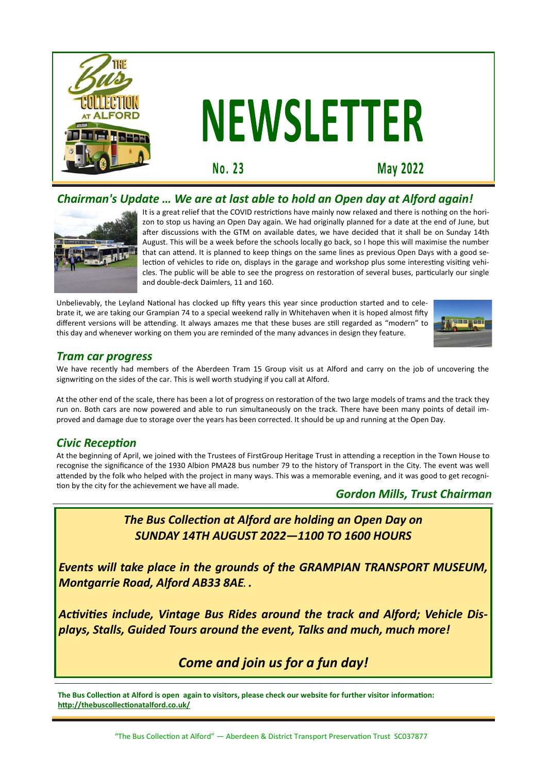

# **NEWSLETTER**

No. 23

**May 2022** 

# *Chairman's Update … We are at last able to hold an Open day at Alford again!*



It is a great relief that the COVID restrictions have mainly now relaxed and there is nothing on the horizon to stop us having an Open Day again. We had originally planned for a date at the end of June, but after discussions with the GTM on available dates, we have decided that it shall be on Sunday 14th August. This will be a week before the schools locally go back, so I hope this will maximise the number that can attend. It is planned to keep things on the same lines as previous Open Days with a good selection of vehicles to ride on, displays in the garage and workshop plus some interesting visiting vehicles. The public will be able to see the progress on restoration of several buses, particularly our single and double-deck Daimlers, 11 and 160.

Unbelievably, the Leyland National has clocked up fifty years this year since production started and to celebrate it, we are taking our Grampian 74 to a special weekend rally in Whitehaven when it is hoped almost fifty different versions will be attending. It always amazes me that these buses are still regarded as "modern" to this day and whenever working on them you are reminded of the many advances in design they feature.



#### *Tram car progress*

We have recently had members of the Aberdeen Tram 15 Group visit us at Alford and carry on the job of uncovering the signwriting on the sides of the car. This is well worth studying if you call at Alford.

At the other end of the scale, there has been a lot of progress on restoration of the two large models of trams and the track they run on. Both cars are now powered and able to run simultaneously on the track. There have been many points of detail improved and damage due to storage over the years has been corrected. It should be up and running at the Open Day.

## *Civic Reception*

At the beginning of April, we joined with the Trustees of FirstGroup Heritage Trust in attending a reception in the Town House to recognise the significance of the 1930 Albion PMA28 bus number 79 to the history of Transport in the City. The event was well attended by the folk who helped with the project in many ways. This was a memorable evening, and it was good to get recognition by the city for the achievement we have all made.

#### *Gordon Mills, Trust Chairman*

*The Bus Collection at Alford are holding an Open Day on SUNDAY 14TH AUGUST 2022—1100 TO 1600 HOURS*

*Events will take place in the grounds of the GRAMPIAN TRANSPORT MUSEUM, Montgarrie Road, Alford AB33 8AE. .*

*Activities include, Vintage Bus Rides around the track and Alford; Vehicle Displays, Stalls, Guided Tours around the event, Talks and much, much more!*

# *Come and join us for a fun day!*

**The Bus Collection at Alford is open again to visitors, please check our website for further visitor information: <http://thebuscollectionatalford.co.uk/>**